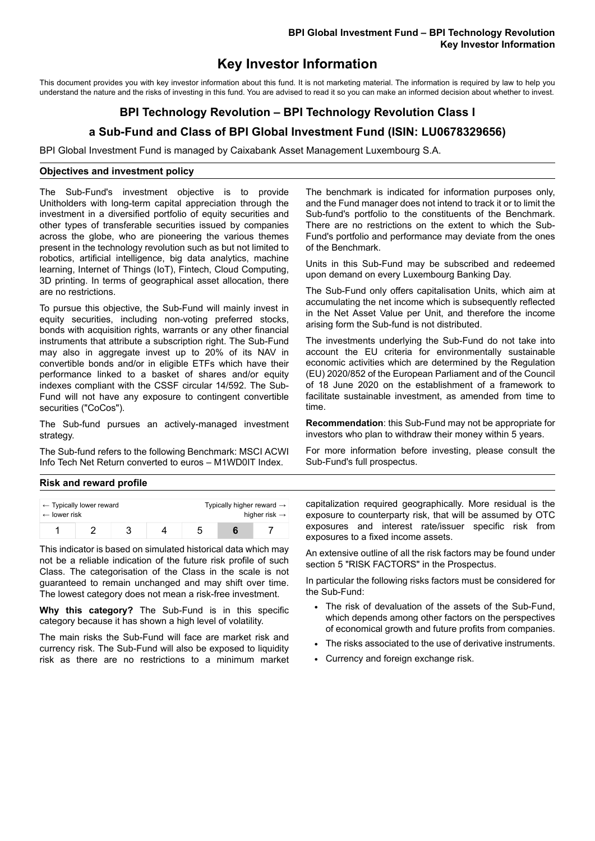# **Key Investor Information**

This document provides you with key investor information about this fund. It is not marketing material. The information is required by law to help you understand the nature and the risks of investing in this fund. You are advised to read it so you can make an informed decision about whether to invest.

# **BPI Technology Revolution – BPI Technology Revolution Class I**

# **a Sub-Fund and Class of BPI Global Investment Fund (ISIN: LU0678329656)**

BPI Global Investment Fund is managed by Caixabank Asset Management Luxembourg S.A.

## **Objectives and investment policy**

The Sub-Fund's investment objective is to provide Unitholders with long-term capital appreciation through the investment in a diversified portfolio of equity securities and other types of transferable securities issued by companies across the globe, who are pioneering the various themes present in the technology revolution such as but not limited to robotics, artificial intelligence, big data analytics, machine learning, Internet of Things (IoT), Fintech, Cloud Computing, 3D printing. In terms of geographical asset allocation, there are no restrictions.

To pursue this objective, the Sub-Fund will mainly invest in equity securities, including non-voting preferred stocks, bonds with acquisition rights, warrants or any other financial instruments that attribute a subscription right. The Sub-Fund may also in aggregate invest up to 20% of its NAV in convertible bonds and/or in eligible ETFs which have their performance linked to a basket of shares and/or equity indexes compliant with the CSSF circular 14/592. The Sub-Fund will not have any exposure to contingent convertible securities ("CoCos").

The Sub-fund pursues an actively-managed investment strategy.

The Sub-fund refers to the following Benchmark: MSCI ACWI Info Tech Net Return converted to euros – M1WD0IT Index.

The benchmark is indicated for information purposes only, and the Fund manager does not intend to track it or to limit the Sub-fund's portfolio to the constituents of the Benchmark. There are no restrictions on the extent to which the Sub-Fund's portfolio and performance may deviate from the ones of the Benchmark.

Units in this Sub-Fund may be subscribed and redeemed upon demand on every Luxembourg Banking Day.

The Sub-Fund only offers capitalisation Units, which aim at accumulating the net income which is subsequently reflected in the Net Asset Value per Unit, and therefore the income arising form the Sub-fund is not distributed.

The investments underlying the Sub-Fund do not take into account the EU criteria for environmentally sustainable economic activities which are determined by the Regulation (EU) 2020/852 of the European Parliament and of the Council of 18 June 2020 on the establishment of a framework to facilitate sustainable investment, as amended from time to time.

**Recommendation**: this Sub-Fund may not be appropriate for investors who plan to withdraw their money within 5 years.

For more information before investing, please consult the Sub-Fund's full prospectus.

## **Risk and reward profile**

| $\leftarrow$ Typically lower reward |  |  |  | Typically higher reward $\rightarrow$ |  |  |
|-------------------------------------|--|--|--|---------------------------------------|--|--|
| $\leftarrow$ lower risk             |  |  |  | higher risk $\rightarrow$             |  |  |
|                                     |  |  |  |                                       |  |  |

This indicator is based on simulated historical data which may not be a reliable indication of the future risk profile of such Class. The categorisation of the Class in the scale is not guaranteed to remain unchanged and may shift over time. The lowest category does not mean a risk-free investment.

**Why this category?** The Sub-Fund is in this specific category because it has shown a high level of volatility.

The main risks the Sub-Fund will face are market risk and currency risk. The Sub-Fund will also be exposed to liquidity risk as there are no restrictions to a minimum market

capitalization required geographically. More residual is the exposure to counterparty risk, that will be assumed by OTC exposures and interest rate/issuer specific risk from exposures to a fixed income assets.

An extensive outline of all the risk factors may be found under section 5 "RISK FACTORS" in the Prospectus.

In particular the following risks factors must be considered for the Sub-Fund:

- The risk of devaluation of the assets of the Sub-Fund, which depends among other factors on the perspectives of economical growth and future profits from companies.
- The risks associated to the use of derivative instruments.
- Currency and foreign exchange risk.